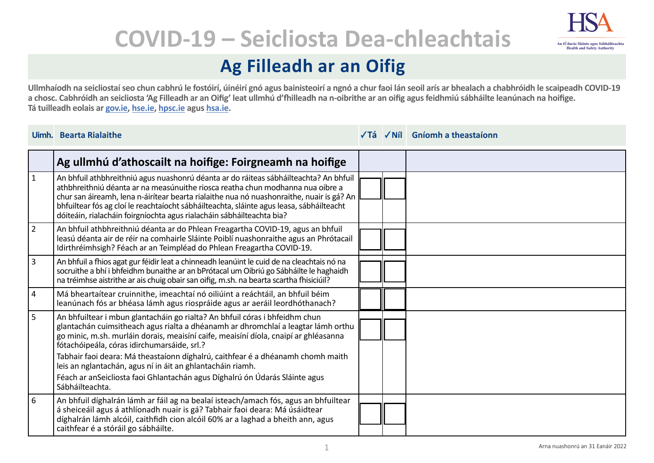

# **COVID-19 – Seicliosta Dea-chleachtais**

## **Ag Filleadh ar an Oifig**

**Ullmhaíodh na seicliostaí seo chun cabhrú le fostóirí, úinéirí gnó agus bainisteoirí a ngnó a chur faoi lán seoil arís ar bhealach a chabhróidh le scaipeadh COVID-19 a chosc. Cabhróidh an seicliosta 'Ag Filleadh ar an Oifig' leat ullmhú d'fhilleadh na n-oibrithe ar an oifig agus feidhmiú sábháilte leanúnach na hoifige. Tá tuilleadh eolais ar [gov.ie](https://www.gov.ie/en/campaigns/c36c85-covid-19-coronavirus/), [hse.ie,](https://www.hse.ie/eng/) [hpsc.ie](https://www.hpsc.ie) agus [hsa.ie](https://www.hsa.ie/eng/).**

|                | Uimh. Bearta Rialaithe                                                                                                                                                                                                                                                                                                                                                                                                                   |  | √Tá √Níl Gníomh a theastaíonn |
|----------------|------------------------------------------------------------------------------------------------------------------------------------------------------------------------------------------------------------------------------------------------------------------------------------------------------------------------------------------------------------------------------------------------------------------------------------------|--|-------------------------------|
|                | Ag ullmhú d'athoscailt na hoifige: Foirgneamh na hoifige                                                                                                                                                                                                                                                                                                                                                                                 |  |                               |
| $\mathbf{1}$   | An bhfuil athbhreithniú agus nuashonrú déanta ar do ráiteas sábháilteachta? An bhfuil<br>athbhreithniú déanta ar na measúnuithe riosca reatha chun modhanna nua oibre a<br>chur san áireamh, lena n-áirítear bearta rialaithe nua nó nuashonraithe, nuair is gá? An<br>bhfuiltear fós ag cloí le reachtaíocht sábháilteachta, sláinte agus leasa, sábháilteacht<br>dóiteáin, rialacháin foirgníochta agus rialacháin sábháilteachta bia? |  |                               |
| $\overline{2}$ | An bhfuil athbhreithniú déanta ar do Phlean Freagartha COVID-19, agus an bhfuil<br>leasú déanta air de réir na comhairle Sláinte Poiblí nuashonraithe agus an Phrótacail<br>Idirthréimhsigh? Féach ar an Teimpléad do Phlean Freagartha COVID-19.                                                                                                                                                                                        |  |                               |
| $\overline{3}$ | An bhfuil a fhios agat gur féidir leat a chinneadh leanúint le cuid de na cleachtais nó na<br>socruithe a bhí i bhfeidhm bunaithe ar an bPrótacal um Oibriú go Sábháilte le haghaidh<br>na tréimhse aistrithe ar ais chuig obair san oifig, m.sh. na bearta scartha fhisiciúil?                                                                                                                                                          |  |                               |
| $\overline{4}$ | Má bheartaítear cruinnithe, imeachtaí nó oiliúint a reáchtáil, an bhfuil béim<br>leanúnach fós ar bhéasa lámh agus riospráide agus ar aeráil leordhóthanach?                                                                                                                                                                                                                                                                             |  |                               |
| 5              | An bhfuiltear i mbun glantacháin go rialta? An bhfuil córas i bhfeidhm chun<br>glantachán cuimsitheach agus rialta a dhéanamh ar dhromchlaí a leagtar lámh orthu<br>go minic, m.sh. murláin dorais, meaisíní caife, meaisíní díola, cnaipí ar ghléasanna<br>fótachóipeála, córas idirchumarsáide, srl.?                                                                                                                                  |  |                               |
|                | Tabhair faoi deara: Má theastaíonn díghalrú, caithfear é a dhéanamh chomh maith<br>leis an nglantachán, agus ní in áit an ghlantacháin riamh.<br>Féach ar anSeicliosta faoi Ghlantachán agus Díghalrú ón Údarás Sláinte agus<br>Sábháilteachta.                                                                                                                                                                                          |  |                               |
| 6              | An bhfuil díghalrán lámh ar fáil ag na bealaí isteach/amach fós, agus an bhfuiltear<br>á sheiceáil agus á athlíonadh nuair is gá? Tabhair faoi deara: Má úsáidtear<br>díghalrán lámh alcóil, caithfidh cion alcóil 60% ar a laghad a bheith ann, agus<br>caithfear é a stóráil go sábháilte.                                                                                                                                             |  |                               |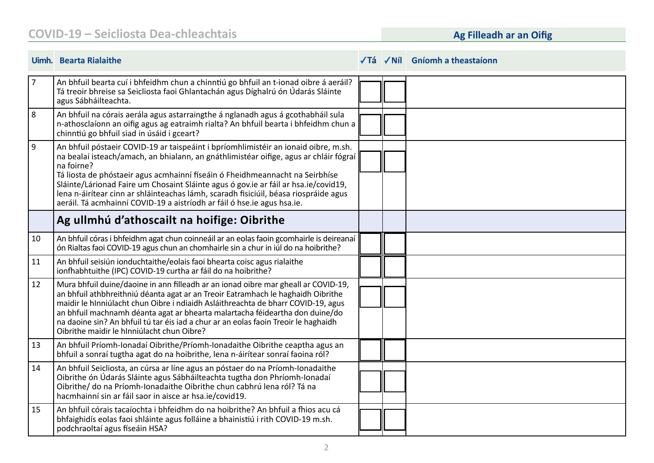|            | Uimh. Bearta Rialaithe                                                                                                                                                                                                                                                                                                                                                                                                                                                                                                               |  | $\sqrt{Ta}$ $\sqrt{Nil}$ Gníomh a theastaíonn |
|------------|--------------------------------------------------------------------------------------------------------------------------------------------------------------------------------------------------------------------------------------------------------------------------------------------------------------------------------------------------------------------------------------------------------------------------------------------------------------------------------------------------------------------------------------|--|-----------------------------------------------|
| $\sqrt{7}$ | An bhfuil bearta cuí i bhfeidhm chun a chinntiú go bhfuil an t-ionad oibre á aeráil?<br>Tá treoir bhreise sa Seicliosta faoi Ghlantachán agus Díghalrú ón Údarás Sláinte<br>agus Sábháilteachta.                                                                                                                                                                                                                                                                                                                                     |  |                                               |
| 8          | An bhfuil na córais aerála agus astarraingthe á nglanadh agus á gcothabháil sula<br>n-athosclaíonn an oifig agus ag eatraimh rialta? An bhfuil bearta i bhfeidhm chun a<br>chinntiú go bhfuil siad in úsáid i gceart?                                                                                                                                                                                                                                                                                                                |  |                                               |
| 9 ا        | An bhfuil póstaeir COVID-19 ar taispeáint i bpríomhlimistéir an ionaid oibre, m.sh.<br>na bealaí isteach/amach, an bhialann, an gnáthlimistéar oifige, agus ar chláir fógraí<br>na foirne?<br>Tá liosta de phóstaeir agus acmhainní físeáin ó Fheidhmeannacht na Seirbhíse<br>Sláinte/Lárionad Faire um Chosaint Sláinte agus ó gov.ie ar fáil ar hsa.ie/covid19,<br>lena n-áirítear cinn ar shláinteachas lámh, scaradh fisiciúil, béasa riospráide agus<br>aeráil. Tá acmhainní COVID-19 a aistríodh ar fáil ó hse.ie agus hsa.ie. |  |                                               |
|            | Ag ullmhú d'athoscailt na hoifige: Oibrithe                                                                                                                                                                                                                                                                                                                                                                                                                                                                                          |  |                                               |
| 10         | An bhfuil córas i bhfeidhm agat chun coinneáil ar an eolas faoin gcomhairle is deireanaí<br>ón Rialtas faoi COVID-19 agus chun an chomhairle sin a chur in iúl do na hoibrithe?                                                                                                                                                                                                                                                                                                                                                      |  |                                               |
| 11         | An bhfuil seisiún ionduchtaithe/eolais faoi bhearta coisc agus rialaithe<br>ionfhabhtuithe (IPC) COVID-19 curtha ar fáil do na hoibrithe?                                                                                                                                                                                                                                                                                                                                                                                            |  |                                               |
| 12         | Mura bhfuil duine/daoine in ann filleadh ar an ionad oibre mar gheall ar COVID-19,<br>an bhfuil athbhreithniú déanta agat ar an Treoir Eatramhach le haghaidh Oibrithe<br>maidir le hInniúlacht chun Oibre i ndiaidh Asláithreachta de bharr COVID-19, agus<br>an bhfuil machnamh déanta agat ar bhearta malartacha féideartha don duine/do<br>na daoine sin? An bhfuil tú tar éis iad a chur ar an eolas faoin Treoir le haghaidh<br>Oibrithe maidir le hInniúlacht chun Oibre?                                                     |  |                                               |
| 13         | An bhfuil Príomh-Ionadaí Oibrithe/Príomh-Ionadaithe Oibrithe ceaptha agus an<br>bhfuil a sonraí tugtha agat do na hoibrithe, lena n-áirítear sonraí faoina ról?                                                                                                                                                                                                                                                                                                                                                                      |  |                                               |
| 14         | An bhfuil Seicliosta, an cúrsa ar líne agus an póstaer do na Príomh-Ionadaithe<br>Oibrithe ón Údarás Sláinte agus Sábháilteachta tugtha don Phríomh-Ionadaí<br>Oibrithe/ do na Príomh-Ionadaithe Oibrithe chun cabhrú lena ról? Tá na<br>hacmhainní sin ar fáil saor in aisce ar hsa.ie/covid19.                                                                                                                                                                                                                                     |  |                                               |
| 15         | An bhfuil córais tacaíochta i bhfeidhm do na hoibrithe? An bhfuil a fhios acu cá<br>bhfaighidís eolas faoi shláinte agus folláine a bhainistiú i rith COVID-19 m.sh.<br>podchraoltaí agus físeáin HSA?                                                                                                                                                                                                                                                                                                                               |  |                                               |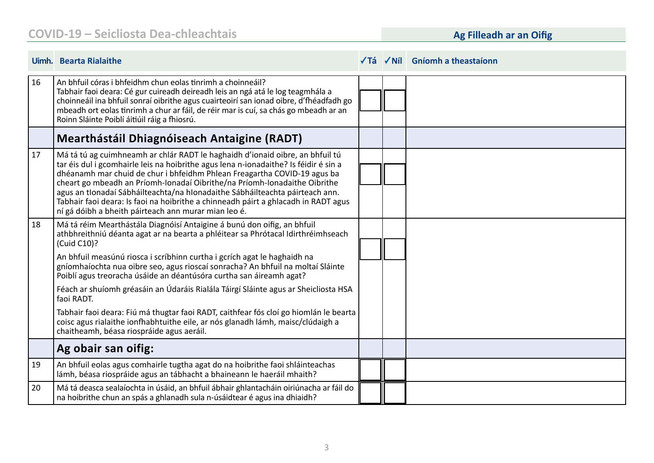|    | Uimh. Bearta Rialaithe                                                                                                                                                                                                                                                                                                                                                                                                                                                                                                                                       |  | √Tá √Níl Gníomh a theastaíonn |
|----|--------------------------------------------------------------------------------------------------------------------------------------------------------------------------------------------------------------------------------------------------------------------------------------------------------------------------------------------------------------------------------------------------------------------------------------------------------------------------------------------------------------------------------------------------------------|--|-------------------------------|
| 16 | An bhfuil córas i bhfeidhm chun eolas tinrimh a choinneáil?<br>Tabhair faoi deara: Cé gur cuireadh deireadh leis an ngá atá le log teagmhála a<br>choinneáil ina bhfuil sonraí oibrithe agus cuairteoirí san ionad oibre, d'fhéadfadh go<br>mbeadh ort eolas tinrimh a chur ar fáil, de réir mar is cuí, sa chás go mbeadh ar an<br>Roinn Sláinte Poiblí áitiúil ráig a fhiosrú.                                                                                                                                                                             |  |                               |
|    | <b>Mearthástáil Dhiagnóiseach Antaigine (RADT)</b>                                                                                                                                                                                                                                                                                                                                                                                                                                                                                                           |  |                               |
| 17 | Má tá tú ag cuimhneamh ar chlár RADT le haghaidh d'ionaid oibre, an bhfuil tú<br>tar éis dul i gcomhairle leis na hoibrithe agus lena n-ionadaithe? Is féidir é sin a<br>dhéanamh mar chuid de chur i bhfeidhm Phlean Freagartha COVID-19 agus ba<br>cheart go mbeadh an Príomh-Ionadaí Oibrithe/na Príomh-Ionadaithe Oibrithe<br>agus an tIonadaí Sábháilteachta/na hIonadaithe Sábháilteachta páirteach ann.<br>Tabhair faoi deara: Is faoi na hoibrithe a chinneadh páirt a ghlacadh in RADT agus<br>ní gá dóibh a bheith páirteach ann murar mian leo é. |  |                               |
| 18 | Má tá réim Mearthástála Diagnóisí Antaigine á bunú don oifig, an bhfuil<br>athbhreithniú déanta agat ar na bearta a phléitear sa Phrótacal Idirthréimhseach<br>(Cuid C10)?                                                                                                                                                                                                                                                                                                                                                                                   |  |                               |
|    | An bhfuil measúnú riosca i scríbhinn curtha i gcrích agat le haghaidh na<br>gníomhaíochta nua oibre seo, agus rioscaí sonracha? An bhfuil na moltaí Sláinte<br>Poiblí agus treoracha úsáide an déantúsóra curtha san áireamh agat?                                                                                                                                                                                                                                                                                                                           |  |                               |
|    | Féach ar shuíomh gréasáin an Údaráis Rialála Táirgí Sláinte agus ar Sheicliosta HSA<br>faoi RADT.                                                                                                                                                                                                                                                                                                                                                                                                                                                            |  |                               |
|    | Tabhair faoi deara: Fiú má thugtar faoi RADT, caithfear fós cloí go hiomlán le bearta<br>coisc agus rialaithe ionfhabhtuithe eile, ar nós glanadh lámh, maisc/clúdaigh a<br>chaitheamh, béasa riospráide agus aeráil.                                                                                                                                                                                                                                                                                                                                        |  |                               |
|    | Ag obair san oifig:                                                                                                                                                                                                                                                                                                                                                                                                                                                                                                                                          |  |                               |
| 19 | An bhfuil eolas agus comhairle tugtha agat do na hoibrithe faoi shláinteachas<br>lámh, béasa riospráide agus an tábhacht a bhaineann le haeráil mhaith?                                                                                                                                                                                                                                                                                                                                                                                                      |  |                               |
| 20 | Má tá deasca sealaíochta in úsáid, an bhfuil ábhair ghlantacháin oiriúnacha ar fáil do<br>na hoibrithe chun an spás a ghlanadh sula n-úsáidtear é agus ina dhiaidh?                                                                                                                                                                                                                                                                                                                                                                                          |  |                               |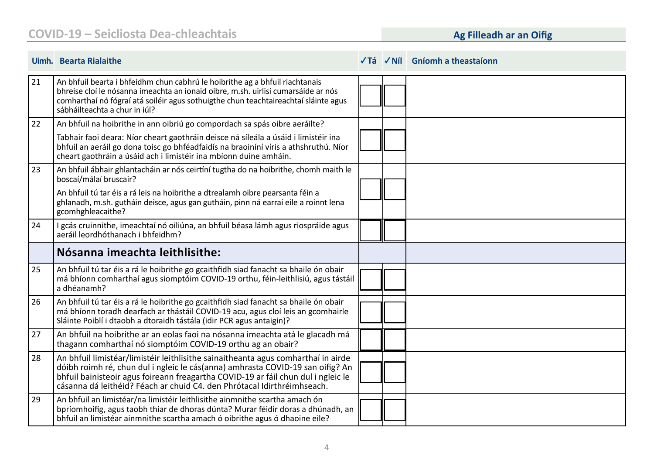|    | Uimh. Bearta Rialaithe                                                                                                                                                                                                                                                                                                              |  | √Tá √Níl Gníomh a theastaíonn |
|----|-------------------------------------------------------------------------------------------------------------------------------------------------------------------------------------------------------------------------------------------------------------------------------------------------------------------------------------|--|-------------------------------|
| 21 | An bhfuil bearta i bhfeidhm chun cabhrú le hoibrithe ag a bhfuil riachtanais<br>bhreise cloí le nósanna imeachta an ionaid oibre, m.sh. uirlisí cumarsáide ar nós<br>comharthaí nó fógraí atá soiléir agus sothuigthe chun teachtaireachtaí sláinte agus<br>sábháilteachta a chur in iúl?                                           |  |                               |
| 22 | An bhfuil na hoibrithe in ann oibriú go compordach sa spás oibre aeráilte?                                                                                                                                                                                                                                                          |  |                               |
|    | Tabhair faoi deara: Níor cheart gaothráin deisce ná síleála a úsáid i limistéir ina<br>bhfuil an aeráil go dona toisc go bhféadfaidís na braoiníní víris a athshruthú. Níor<br>cheart gaothráin a úsáid ach i limistéir ina mbíonn duine amháin.                                                                                    |  |                               |
| 23 | An bhfuil ábhair ghlantacháin ar nós ceirtíní tugtha do na hoibrithe, chomh maith le<br>boscaí/málaí bruscair?                                                                                                                                                                                                                      |  |                               |
|    | An bhfuil tú tar éis a rá leis na hoibrithe a dtrealamh oibre pearsanta féin a<br>ghlanadh, m.sh. gutháin deisce, agus gan gutháin, pinn ná earraí eile a roinnt lena<br>gcomhghleacaithe?                                                                                                                                          |  |                               |
| 24 | I gcás cruinnithe, imeachtaí nó oiliúna, an bhfuil béasa lámh agus riospráide agus<br>aeráil leordhóthanach i bhfeidhm?                                                                                                                                                                                                             |  |                               |
|    | Nósanna imeachta leithlisithe:                                                                                                                                                                                                                                                                                                      |  |                               |
| 25 | An bhfuil tú tar éis a rá le hoibrithe go gcaithfidh siad fanacht sa bhaile ón obair<br>má bhíonn comharthaí agus siomptóim COVID-19 orthu, féin-leithlisiú, agus tástáil<br>a dhéanamh?                                                                                                                                            |  |                               |
| 26 | An bhfuil tú tar éis a rá le hoibrithe go gcaithfidh siad fanacht sa bhaile ón obair<br>má bhíonn toradh dearfach ar thástáil COVID-19 acu, agus cloí leis an gcomhairle<br>Sláinte Poiblí i dtaobh a dtoraidh tástála (idir PCR agus antaigin)?                                                                                    |  |                               |
| 27 | An bhfuil na hoibrithe ar an eolas faoi na nósanna imeachta atá le glacadh má<br>thagann comharthaí nó siomptóim COVID-19 orthu ag an obair?                                                                                                                                                                                        |  |                               |
| 28 | An bhfuil limistéar/limistéir leithlisithe sainaitheanta agus comharthaí in airde<br>dóibh roimh ré, chun dul i ngleic le cás(anna) amhrasta COVID-19 san oifig? An<br>bhfuil bainisteoir agus foireann freagartha COVID-19 ar fáil chun dul i ngleic le<br>cásanna dá leithéid? Féach ar chuid C4. den Phrótacal Idirthréimhseach. |  |                               |
| 29 | An bhfuil an limistéar/na limistéir leithlisithe ainmnithe scartha amach ón<br>bpríomhoifig, agus taobh thiar de dhoras dúnta? Murar féidir doras a dhúnadh, an<br>bhfuil an limistéar ainmnithe scartha amach ó oibrithe agus ó dhaoine eile?                                                                                      |  |                               |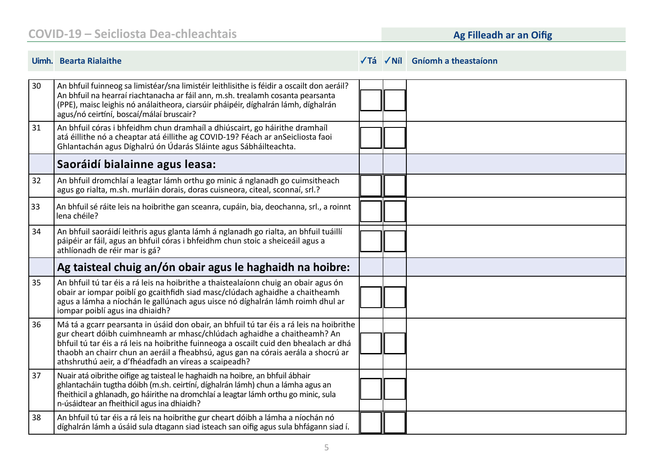### **COVID-19 – Seicliosta Dea-chleachtais**

### **Ag Filleadh ar an Oifig**

|    | Uimh. Bearta Rialaithe                                                                                                                                                                                                                                                                                                                                                                                    |  | $\sqrt{I}$ á $\sqrt{I}$ Níl Gníomh a theastaíonn |
|----|-----------------------------------------------------------------------------------------------------------------------------------------------------------------------------------------------------------------------------------------------------------------------------------------------------------------------------------------------------------------------------------------------------------|--|--------------------------------------------------|
| 30 | An bhfuil fuinneog sa limistéar/sna limistéir leithlisithe is féidir a oscailt don aeráil?<br>An bhfuil na hearraí riachtanacha ar fáil ann, m.sh. trealamh cosanta pearsanta<br>(PPE), maisc leighis nó análaitheora, ciarsúir pháipéir, díghalrán lámh, díghalrán<br>agus/nó ceirtíní, boscaí/málaí bruscair?                                                                                           |  |                                                  |
| 31 | An bhfuil córas i bhfeidhm chun dramhaíl a dhiúscairt, go háirithe dramhaíl<br>atá éillithe nó a cheaptar atá éillithe ag COVID-19? Féach ar anSeicliosta faoi<br>Ghlantachán agus Díghalrú ón Údarás Sláinte agus Sábháilteachta.                                                                                                                                                                        |  |                                                  |
|    | Saoráidí bialainne agus leasa:                                                                                                                                                                                                                                                                                                                                                                            |  |                                                  |
| 32 | An bhfuil dromchlaí a leagtar lámh orthu go minic á nglanadh go cuimsitheach<br>agus go rialta, m.sh. murláin dorais, doras cuisneora, citeal, sconnaí, srl.?                                                                                                                                                                                                                                             |  |                                                  |
| 33 | An bhfuil sé ráite leis na hoibrithe gan sceanra, cupáin, bia, deochanna, srl., a roinnt<br>lena chéile?                                                                                                                                                                                                                                                                                                  |  |                                                  |
| 34 | An bhfuil saoráidí leithris agus glanta lámh á nglanadh go rialta, an bhfuil tuáillí<br>páipéir ar fáil, agus an bhfuil córas i bhfeidhm chun stoic a sheiceáil agus a<br>athlíonadh de réir mar is gá?                                                                                                                                                                                                   |  |                                                  |
|    | Ag taisteal chuig an/ón obair agus le haghaidh na hoibre:                                                                                                                                                                                                                                                                                                                                                 |  |                                                  |
| 35 | An bhfuil tú tar éis a rá leis na hoibrithe a thaistealaíonn chuig an obair agus ón<br>obair ar iompar poiblí go gcaithfidh siad masc/clúdach aghaidhe a chaitheamh<br>agus a lámha a níochán le gallúnach agus uisce nó díghalrán lámh roimh dhul ar<br>iompar poiblí agus ina dhiaidh?                                                                                                                  |  |                                                  |
| 36 | Má tá a gcarr pearsanta in úsáid don obair, an bhfuil tú tar éis a rá leis na hoibrithe<br>gur cheart dóibh cuimhneamh ar mhasc/chlúdach aghaidhe a chaitheamh? An<br>bhfuil tú tar éis a rá leis na hoibrithe fuinneoga a oscailt cuid den bhealach ar dhá<br>thaobh an chairr chun an aeráil a fheabhsú, agus gan na córais aerála a shocrú ar<br>athshruthú aeir, a d'fhéadfadh an víreas a scaipeadh? |  |                                                  |
| 37 | Nuair atá oibrithe oifige ag taisteal le haghaidh na hoibre, an bhfuil ábhair<br>ghlantacháin tugtha dóibh (m.sh. ceirtíní, díghalrán lámh) chun a lámha agus an<br>fheithicil a ghlanadh, go háirithe na dromchlaí a leagtar lámh orthu go minic, sula<br>n-úsáidtear an fheithicil agus ina dhiaidh?                                                                                                    |  |                                                  |
| 38 | An bhfuil tú tar éis a rá leis na hoibrithe gur cheart dóibh a lámha a níochán nó<br>díghalrán lámh a úsáid sula dtagann siad isteach san oifig agus sula bhfágann siad í.                                                                                                                                                                                                                                |  |                                                  |